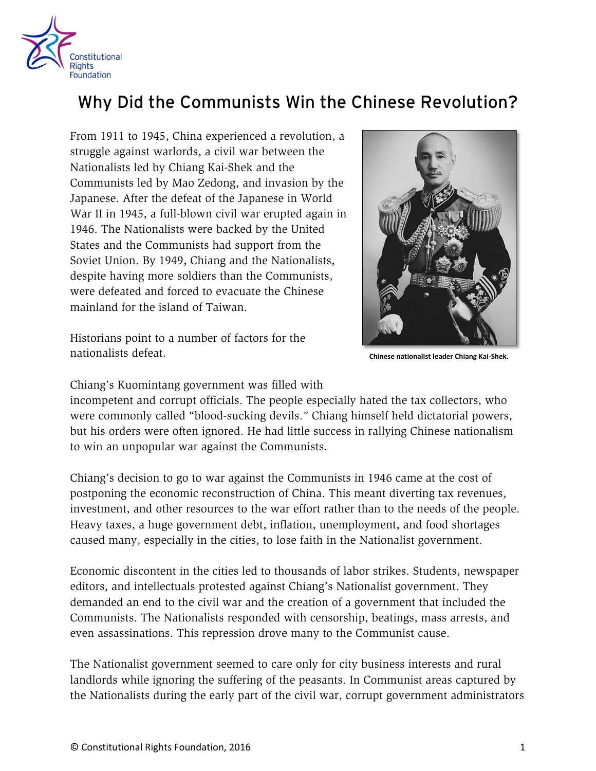

## Why Did the Communists Win the Chinese Revolution?

From 1911 to 1945, China experienced a revolution, a struggle against warlords, a civil war between the Nationalists led by Chiang Kai-Shek and the Communists led by Mao Zedong, and invasion by the Japanese. After the defeat of the Japanese in World War II in 1945, a full-blown civil war erupted again in 1946. The Nationalists were backed by the United States and the Communists had support from the Soviet Union. By 1949, Chiang and the Nationalists, despite having more soldiers than the Communists, were defeated and forced to evacuate the Chinese mainland for the island of Taiwan.

Historians point to a number of factors for the nationalists defeat.



**Chinese nationalist leader Chiang Kai-Shek.**

Chiang's Kuomintang government was filled with

incompetent and corrupt officials. The people especially hated the tax collectors, who were commonly called "blood-sucking devils." Chiang himself held dictatorial powers, but his orders were often ignored. He had little success in rallying Chinese nationalism to win an unpopular war against the Communists.

Chiang's decision to go to war against the Communists in 1946 came at the cost of postponing the economic reconstruction of China. This meant diverting tax revenues, investment, and other resources to the war effort rather than to the needs of the people. Heavy taxes, a huge government debt, inflation, unemployment, and food shortages caused many, especially in the cities, to lose faith in the Nationalist government.

Economic discontent in the cities led to thousands of labor strikes. Students, newspaper editors, and intellectuals protested against Chiang's Nationalist government. They demanded an end to the civil war and the creation of a government that included the Communists. The Nationalists responded with censorship, beatings, mass arrests, and even assassinations. This repression drove many to the Communist cause.

The Nationalist government seemed to care only for city business interests and rural landlords while ignoring the suffering of the peasants. In Communist areas captured by the Nationalists during the early part of the civil war, corrupt government administrators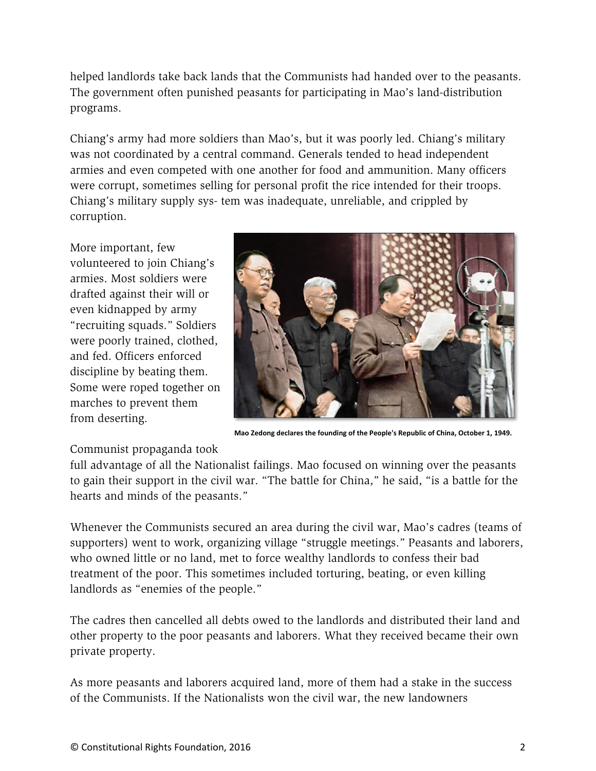helped landlords take back lands that the Communists had handed over to the peasants. The government often punished peasants for participating in Mao's land-distribution programs.

Chiang's army had more soldiers than Mao's, but it was poorly led. Chiang's military was not coordinated by a central command. Generals tended to head independent armies and even competed with one another for food and ammunition. Many officers were corrupt, sometimes selling for personal profit the rice intended for their troops. Chiang's military supply sys- tem was inadequate, unreliable, and crippled by corruption.

More important, few volunteered to join Chiang's armies. Most soldiers were drafted against their will or even kidnapped by army "recruiting squads." Soldiers were poorly trained, clothed, and fed. Officers enforced discipline by beating them. Some were roped together on marches to prevent them from deserting.



**Mao Zedong declares the founding of the People's Republic of China, October 1, 1949.**

## Communist propaganda took

full advantage of all the Nationalist failings. Mao focused on winning over the peasants to gain their support in the civil war. "The battle for China," he said, "is a battle for the hearts and minds of the peasants."

Whenever the Communists secured an area during the civil war, Mao's cadres (teams of supporters) went to work, organizing village "struggle meetings." Peasants and laborers, who owned little or no land, met to force wealthy landlords to confess their bad treatment of the poor. This sometimes included torturing, beating, or even killing landlords as "enemies of the people."

The cadres then cancelled all debts owed to the landlords and distributed their land and other property to the poor peasants and laborers. What they received became their own private property.

As more peasants and laborers acquired land, more of them had a stake in the success of the Communists. If the Nationalists won the civil war, the new landowners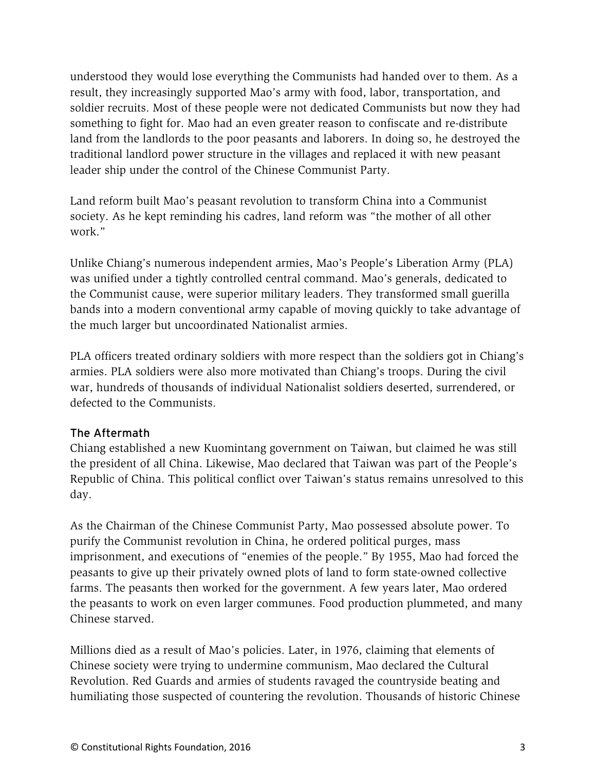understood they would lose everything the Communists had handed over to them. As a result, they increasingly supported Mao's army with food, labor, transportation, and soldier recruits. Most of these people were not dedicated Communists but now they had something to fight for. Mao had an even greater reason to confiscate and re-distribute land from the landlords to the poor peasants and laborers. In doing so, he destroyed the traditional landlord power structure in the villages and replaced it with new peasant leader ship under the control of the Chinese Communist Party.

Land reform built Mao's peasant revolution to transform China into a Communist society. As he kept reminding his cadres, land reform was "the mother of all other work."

Unlike Chiang's numerous independent armies, Mao's People's Liberation Army (PLA) was unified under a tightly controlled central command. Mao's generals, dedicated to the Communist cause, were superior military leaders. They transformed small guerilla bands into a modern conventional army capable of moving quickly to take advantage of the much larger but uncoordinated Nationalist armies.

PLA officers treated ordinary soldiers with more respect than the soldiers got in Chiang's armies. PLA soldiers were also more motivated than Chiang's troops. During the civil war, hundreds of thousands of individual Nationalist soldiers deserted, surrendered, or defected to the Communists.

## The Aftermath

Chiang established a new Kuomintang government on Taiwan, but claimed he was still the president of all China. Likewise, Mao declared that Taiwan was part of the People's Republic of China. This political conflict over Taiwan's status remains unresolved to this day.

As the Chairman of the Chinese Communist Party, Mao possessed absolute power. To purify the Communist revolution in China, he ordered political purges, mass imprisonment, and executions of "enemies of the people." By 1955, Mao had forced the peasants to give up their privately owned plots of land to form state-owned collective farms. The peasants then worked for the government. A few years later, Mao ordered the peasants to work on even larger communes. Food production plummeted, and many Chinese starved.

Millions died as a result of Mao's policies. Later, in 1976, claiming that elements of Chinese society were trying to undermine communism, Mao declared the Cultural Revolution. Red Guards and armies of students ravaged the countryside beating and humiliating those suspected of countering the revolution. Thousands of historic Chinese